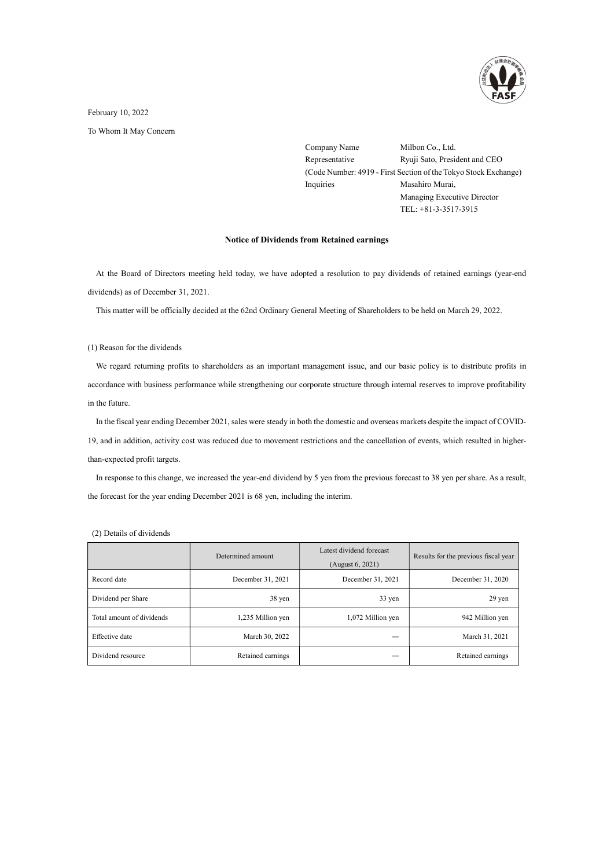

## February 10, 2022

To Whom It May Concern

Company Name Milbon Co., Ltd. Representative Ryuji Sato, President and CEO (Code Number: 4919 - First Section of the Tokyo Stock Exchange) Inquiries Masahiro Murai, Managing Executive Director TEL: +81-3-3517-3915

## Notice of Dividends from Retained earnings

At the Board of Directors meeting held today, we have adopted a resolution to pay dividends of retained earnings (year-end dividends) as of December 31, 2021.

This matter will be officially decided at the 62nd Ordinary General Meeting of Shareholders to be held on March 29, 2022.

## (1) Reason for the dividends

We regard returning profits to shareholders as an important management issue, and our basic policy is to distribute profits in accordance with business performance while strengthening our corporate structure through internal reserves to improve profitability in the future.

In the fiscal year ending December 2021, sales were steady in both the domestic and overseas markets despite the impact of COVID-19, and in addition, activity cost was reduced due to movement restrictions and the cancellation of events, which resulted in higherthan-expected profit targets.

In response to this change, we increased the year-end dividend by 5 yen from the previous forecast to 38 yen per share. As a result, the forecast for the year ending December 2021 is 68 yen, including the interim.

|                           | Determined amount | Latest dividend forecast<br>(August 6, 2021) | Results for the previous fiscal year |
|---------------------------|-------------------|----------------------------------------------|--------------------------------------|
| Record date               | December 31, 2021 | December 31, 2021                            | December 31, 2020                    |
| Dividend per Share        | 38 yen            | 33 yen                                       | $29$ yen                             |
| Total amount of dividends | 1,235 Million yen | 1,072 Million yen                            | 942 Million yen                      |
| Effective date            | March 30, 2022    |                                              | March 31, 2021                       |
| Dividend resource         | Retained earnings |                                              | Retained earnings                    |

(2) Details of dividends